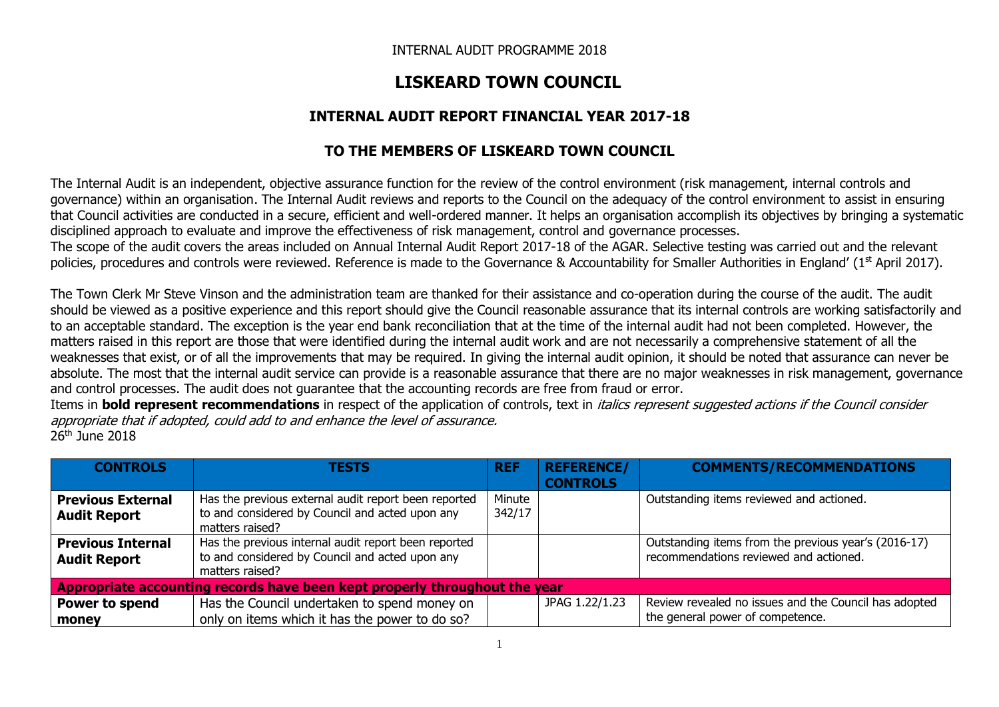# **LISKEARD TOWN COUNCIL**

### **INTERNAL AUDIT REPORT FINANCIAL YEAR 2017-18**

## **TO THE MEMBERS OF LISKEARD TOWN COUNCIL**

The Internal Audit is an independent, objective assurance function for the review of the control environment (risk management, internal controls and governance) within an organisation. The Internal Audit reviews and reports to the Council on the adequacy of the control environment to assist in ensuring that Council activities are conducted in a secure, efficient and well-ordered manner. It helps an organisation accomplish its objectives by bringing a systematic disciplined approach to evaluate and improve the effectiveness of risk management, control and governance processes.

The scope of the audit covers the areas included on Annual Internal Audit Report 2017-18 of the AGAR. Selective testing was carried out and the relevant policies, procedures and controls were reviewed. Reference is made to the Governance & Accountability for Smaller Authorities in England' (1st April 2017).

The Town Clerk Mr Steve Vinson and the administration team are thanked for their assistance and co-operation during the course of the audit. The audit should be viewed as a positive experience and this report should give the Council reasonable assurance that its internal controls are working satisfactorily and to an acceptable standard. The exception is the year end bank reconciliation that at the time of the internal audit had not been completed. However, the matters raised in this report are those that were identified during the internal audit work and are not necessarily a comprehensive statement of all the weaknesses that exist, or of all the improvements that may be required. In giving the internal audit opinion, it should be noted that assurance can never be absolute. The most that the internal audit service can provide is a reasonable assurance that there are no major weaknesses in risk management, governance and control processes. The audit does not guarantee that the accounting records are free from fraud or error.

Items in **bold represent recommendations** in respect of the application of controls, text in italics represent suggested actions if the Council consider appropriate that if adopted, could add to and enhance the level of assurance. 26th June 2018

| <b>CONTROLS</b>                                                            | <b>TESTS</b>                                                                                                               | <b>REF</b>       | <b>REFERENCE/</b><br><b>CONTROLS</b> | <b>COMMENTS/RECOMMENDATIONS</b>                                                                |
|----------------------------------------------------------------------------|----------------------------------------------------------------------------------------------------------------------------|------------------|--------------------------------------|------------------------------------------------------------------------------------------------|
| <b>Previous External</b><br><b>Audit Report</b>                            | Has the previous external audit report been reported<br>to and considered by Council and acted upon any<br>matters raised? | Minute<br>342/17 |                                      | Outstanding items reviewed and actioned.                                                       |
| <b>Previous Internal</b><br><b>Audit Report</b>                            | Has the previous internal audit report been reported<br>to and considered by Council and acted upon any<br>matters raised? |                  |                                      | Outstanding items from the previous year's (2016-17)<br>recommendations reviewed and actioned. |
| Appropriate accounting records have been kept properly throughout the year |                                                                                                                            |                  |                                      |                                                                                                |
| Power to spend<br>money                                                    | Has the Council undertaken to spend money on<br>only on items which it has the power to do so?                             |                  | JPAG 1.22/1.23                       | Review revealed no issues and the Council has adopted<br>the general power of competence.      |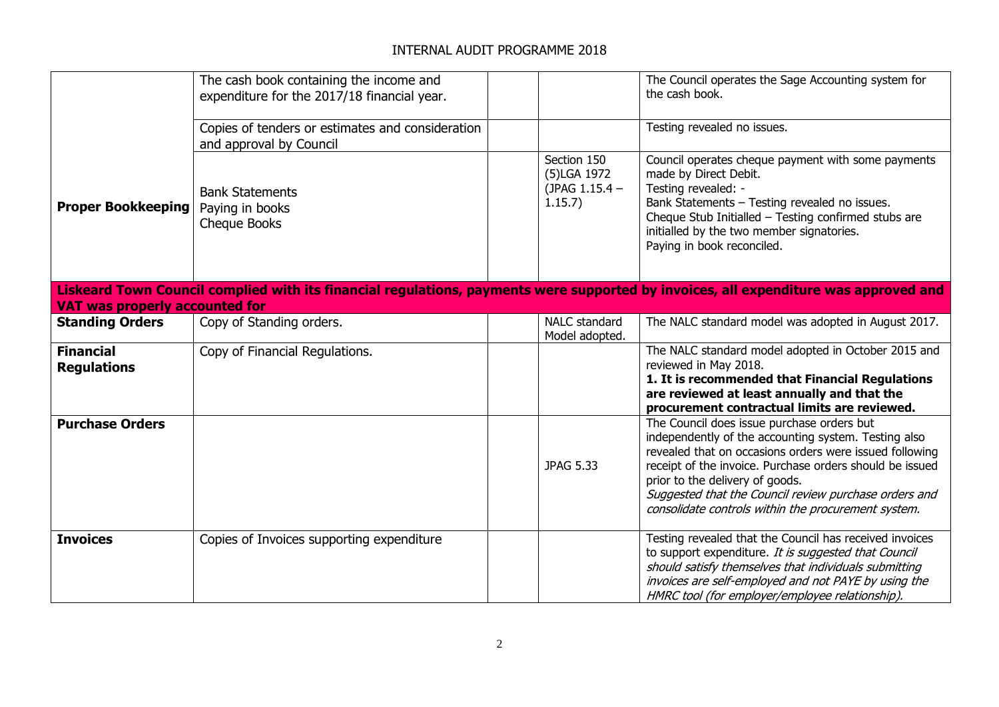|                                        | The cash book containing the income and<br>expenditure for the 2017/18 financial year. |                                                         | The Council operates the Sage Accounting system for<br>the cash book.                                                                                                                                                                                                                                                                                                        |
|----------------------------------------|----------------------------------------------------------------------------------------|---------------------------------------------------------|------------------------------------------------------------------------------------------------------------------------------------------------------------------------------------------------------------------------------------------------------------------------------------------------------------------------------------------------------------------------------|
|                                        | Copies of tenders or estimates and consideration<br>and approval by Council            |                                                         | Testing revealed no issues.                                                                                                                                                                                                                                                                                                                                                  |
| <b>Proper Bookkeeping</b>              | <b>Bank Statements</b><br>Paying in books<br>Cheque Books                              | Section 150<br>(5)LGA 1972<br>(JPAG 1.15.4 -<br>1.15.7) | Council operates cheque payment with some payments<br>made by Direct Debit.<br>Testing revealed: -<br>Bank Statements - Testing revealed no issues.<br>Cheque Stub Initialled - Testing confirmed stubs are<br>initialled by the two member signatories.<br>Paying in book reconciled.                                                                                       |
| <b>VAT was properly accounted for</b>  |                                                                                        |                                                         | Liskeard Town Council complied with its financial regulations, payments were supported by invoices, all expenditure was approved and                                                                                                                                                                                                                                         |
| <b>Standing Orders</b>                 | Copy of Standing orders.                                                               | NALC standard<br>Model adopted.                         | The NALC standard model was adopted in August 2017.                                                                                                                                                                                                                                                                                                                          |
| <b>Financial</b><br><b>Regulations</b> | Copy of Financial Regulations.                                                         |                                                         | The NALC standard model adopted in October 2015 and<br>reviewed in May 2018.<br>1. It is recommended that Financial Regulations<br>are reviewed at least annually and that the<br>procurement contractual limits are reviewed.                                                                                                                                               |
| <b>Purchase Orders</b>                 |                                                                                        | <b>JPAG 5.33</b>                                        | The Council does issue purchase orders but<br>independently of the accounting system. Testing also<br>revealed that on occasions orders were issued following<br>receipt of the invoice. Purchase orders should be issued<br>prior to the delivery of goods.<br>Suggested that the Council review purchase orders and<br>consolidate controls within the procurement system. |
| <b>Invoices</b>                        | Copies of Invoices supporting expenditure                                              |                                                         | Testing revealed that the Council has received invoices<br>to support expenditure. It is suggested that Council<br>should satisfy themselves that individuals submitting<br>invoices are self-employed and not PAYE by using the<br>HMRC tool (for employer/employee relationship).                                                                                          |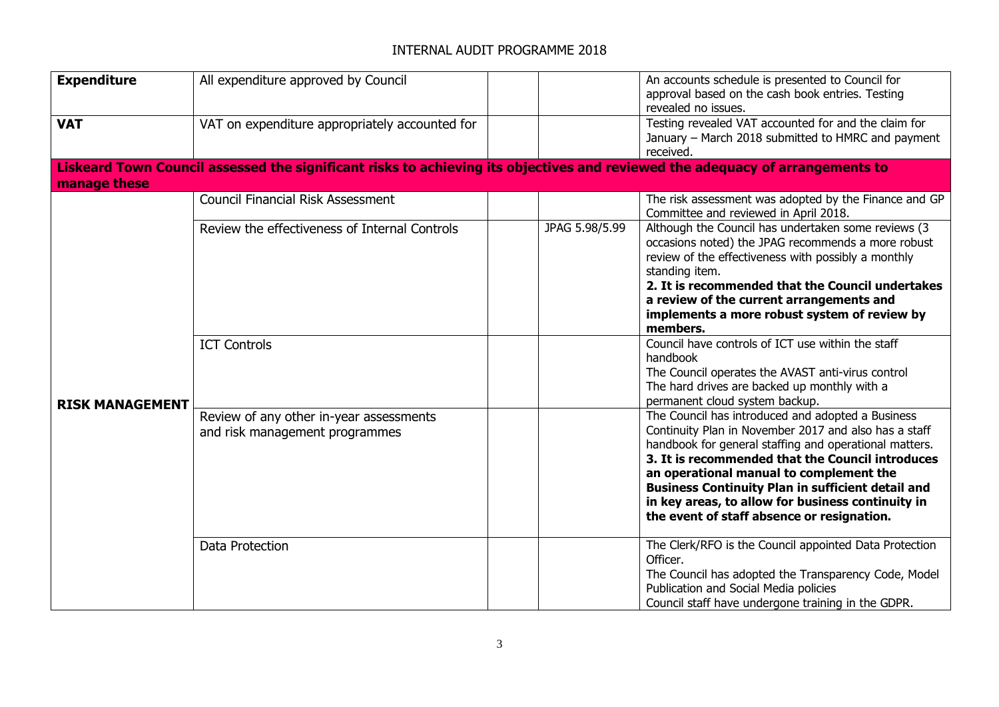| <b>Expenditure</b>     | All expenditure approved by Council                                                                                           |                | An accounts schedule is presented to Council for<br>approval based on the cash book entries. Testing<br>revealed no issues.                                                                                                                                                                                                                                                                                                        |
|------------------------|-------------------------------------------------------------------------------------------------------------------------------|----------------|------------------------------------------------------------------------------------------------------------------------------------------------------------------------------------------------------------------------------------------------------------------------------------------------------------------------------------------------------------------------------------------------------------------------------------|
| <b>VAT</b>             | VAT on expenditure appropriately accounted for                                                                                |                | Testing revealed VAT accounted for and the claim for<br>January - March 2018 submitted to HMRC and payment<br>received.                                                                                                                                                                                                                                                                                                            |
| manage these           | Liskeard Town Council assessed the significant risks to achieving its objectives and reviewed the adequacy of arrangements to |                |                                                                                                                                                                                                                                                                                                                                                                                                                                    |
|                        | <b>Council Financial Risk Assessment</b>                                                                                      |                | The risk assessment was adopted by the Finance and GP<br>Committee and reviewed in April 2018.                                                                                                                                                                                                                                                                                                                                     |
|                        | Review the effectiveness of Internal Controls                                                                                 | JPAG 5.98/5.99 | Although the Council has undertaken some reviews (3<br>occasions noted) the JPAG recommends a more robust<br>review of the effectiveness with possibly a monthly<br>standing item.<br>2. It is recommended that the Council undertakes<br>a review of the current arrangements and<br>implements a more robust system of review by<br>members.                                                                                     |
| <b>RISK MANAGEMENT</b> | <b>ICT Controls</b>                                                                                                           |                | Council have controls of ICT use within the staff<br>handbook<br>The Council operates the AVAST anti-virus control<br>The hard drives are backed up monthly with a<br>permanent cloud system backup.                                                                                                                                                                                                                               |
|                        | Review of any other in-year assessments<br>and risk management programmes                                                     |                | The Council has introduced and adopted a Business<br>Continuity Plan in November 2017 and also has a staff<br>handbook for general staffing and operational matters.<br>3. It is recommended that the Council introduces<br>an operational manual to complement the<br><b>Business Continuity Plan in sufficient detail and</b><br>in key areas, to allow for business continuity in<br>the event of staff absence or resignation. |
|                        | Data Protection                                                                                                               |                | The Clerk/RFO is the Council appointed Data Protection<br>Officer.<br>The Council has adopted the Transparency Code, Model<br>Publication and Social Media policies<br>Council staff have undergone training in the GDPR.                                                                                                                                                                                                          |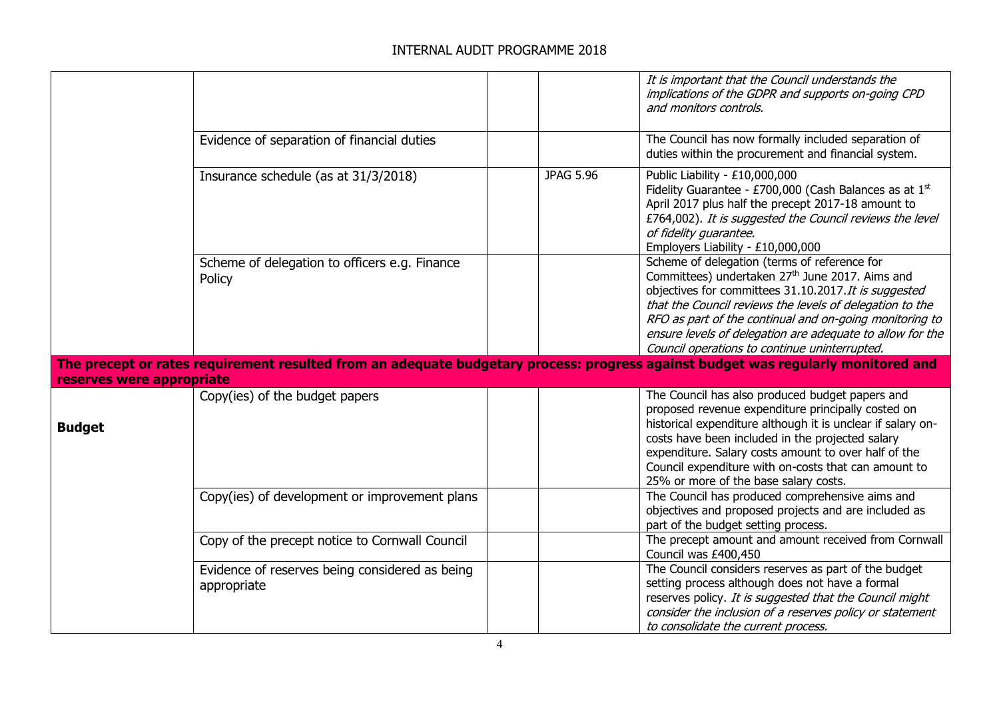|                           |                                                               |                  | It is important that the Council understands the<br>implications of the GDPR and supports on-going CPD<br>and monitors controls.                                                                                                                                                                                                                                                                          |
|---------------------------|---------------------------------------------------------------|------------------|-----------------------------------------------------------------------------------------------------------------------------------------------------------------------------------------------------------------------------------------------------------------------------------------------------------------------------------------------------------------------------------------------------------|
|                           | Evidence of separation of financial duties                    |                  | The Council has now formally included separation of<br>duties within the procurement and financial system.                                                                                                                                                                                                                                                                                                |
|                           | Insurance schedule (as at 31/3/2018)                          | <b>JPAG 5.96</b> | Public Liability - £10,000,000<br>Fidelity Guarantee - £700,000 (Cash Balances as at 1st<br>April 2017 plus half the precept 2017-18 amount to<br>£764,002). It is suggested the Council reviews the level<br>of fidelity quarantee.<br>Employers Liability - £10,000,000                                                                                                                                 |
|                           | Scheme of delegation to officers e.g. Finance<br>Policy       |                  | Scheme of delegation (terms of reference for<br>Committees) undertaken 27 <sup>th</sup> June 2017. Aims and<br>objectives for committees 31.10.2017. It is suggested<br>that the Council reviews the levels of delegation to the<br>RFO as part of the continual and on-going monitoring to<br>ensure levels of delegation are adequate to allow for the<br>Council operations to continue uninterrupted. |
| reserves were appropriate |                                                               |                  | The precept or rates requirement resulted from an adequate budgetary process: progress against budget was regularly monitored and                                                                                                                                                                                                                                                                         |
| <b>Budget</b>             | Copy(ies) of the budget papers                                |                  | The Council has also produced budget papers and<br>proposed revenue expenditure principally costed on<br>historical expenditure although it is unclear if salary on-<br>costs have been included in the projected salary<br>expenditure. Salary costs amount to over half of the<br>Council expenditure with on-costs that can amount to<br>25% or more of the base salary costs.                         |
|                           | Copy(ies) of development or improvement plans                 |                  | The Council has produced comprehensive aims and<br>objectives and proposed projects and are included as<br>part of the budget setting process.                                                                                                                                                                                                                                                            |
|                           | Copy of the precept notice to Cornwall Council                |                  | The precept amount and amount received from Cornwall<br>Council was £400,450                                                                                                                                                                                                                                                                                                                              |
|                           | Evidence of reserves being considered as being<br>appropriate |                  | The Council considers reserves as part of the budget<br>setting process although does not have a formal<br>reserves policy. It is suggested that the Council might<br>consider the inclusion of a reserves policy or statement<br>to consolidate the current process.                                                                                                                                     |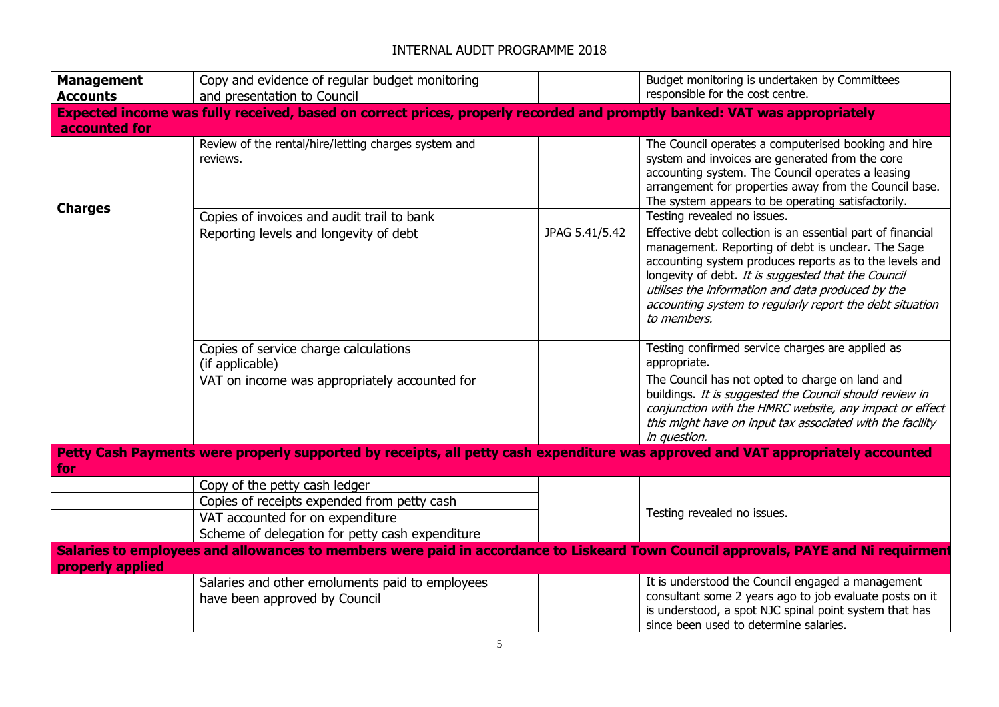| <b>Management</b>                                                                                                                                      | Copy and evidence of regular budget monitoring                                                                                                                      |                | Budget monitoring is undertaken by Committees                                                                                                                                                                                                                                                                                                                       |  |
|--------------------------------------------------------------------------------------------------------------------------------------------------------|---------------------------------------------------------------------------------------------------------------------------------------------------------------------|----------------|---------------------------------------------------------------------------------------------------------------------------------------------------------------------------------------------------------------------------------------------------------------------------------------------------------------------------------------------------------------------|--|
| <b>Accounts</b>                                                                                                                                        | and presentation to Council                                                                                                                                         |                | responsible for the cost centre.                                                                                                                                                                                                                                                                                                                                    |  |
|                                                                                                                                                        | Expected income was fully received, based on correct prices, properly recorded and promptly banked: VAT was appropriately                                           |                |                                                                                                                                                                                                                                                                                                                                                                     |  |
| accounted for                                                                                                                                          |                                                                                                                                                                     |                |                                                                                                                                                                                                                                                                                                                                                                     |  |
| <b>Charges</b>                                                                                                                                         | Review of the rental/hire/letting charges system and<br>reviews.                                                                                                    |                | The Council operates a computerised booking and hire<br>system and invoices are generated from the core<br>accounting system. The Council operates a leasing<br>arrangement for properties away from the Council base.<br>The system appears to be operating satisfactorily.                                                                                        |  |
|                                                                                                                                                        | Copies of invoices and audit trail to bank                                                                                                                          |                | Testing revealed no issues.                                                                                                                                                                                                                                                                                                                                         |  |
|                                                                                                                                                        | Reporting levels and longevity of debt                                                                                                                              | JPAG 5.41/5.42 | Effective debt collection is an essential part of financial<br>management. Reporting of debt is unclear. The Sage<br>accounting system produces reports as to the levels and<br>longevity of debt. It is suggested that the Council<br>utilises the information and data produced by the<br>accounting system to regularly report the debt situation<br>to members. |  |
|                                                                                                                                                        | Copies of service charge calculations<br>(if applicable)                                                                                                            |                | Testing confirmed service charges are applied as<br>appropriate.                                                                                                                                                                                                                                                                                                    |  |
|                                                                                                                                                        | VAT on income was appropriately accounted for                                                                                                                       |                | The Council has not opted to charge on land and<br>buildings. It is suggested the Council should review in<br>conjunction with the HMRC website, any impact or effect<br>this might have on input tax associated with the facility<br>in question.                                                                                                                  |  |
| Petty Cash Payments were properly supported by receipts, all petty cash expenditure was approved and VAT appropriately accounted<br><b><i>for</i></b>  |                                                                                                                                                                     |                |                                                                                                                                                                                                                                                                                                                                                                     |  |
|                                                                                                                                                        | Copy of the petty cash ledger<br>Copies of receipts expended from petty cash<br>VAT accounted for on expenditure<br>Scheme of delegation for petty cash expenditure |                | Testing revealed no issues.                                                                                                                                                                                                                                                                                                                                         |  |
| Salaries to employees and allowances to members were paid in accordance to Liskeard Town Council approvals, PAYE and Ni requirment<br>properly applied |                                                                                                                                                                     |                |                                                                                                                                                                                                                                                                                                                                                                     |  |
|                                                                                                                                                        | Salaries and other emoluments paid to employees<br>have been approved by Council                                                                                    |                | It is understood the Council engaged a management<br>consultant some 2 years ago to job evaluate posts on it<br>is understood, a spot NJC spinal point system that has<br>since been used to determine salaries.                                                                                                                                                    |  |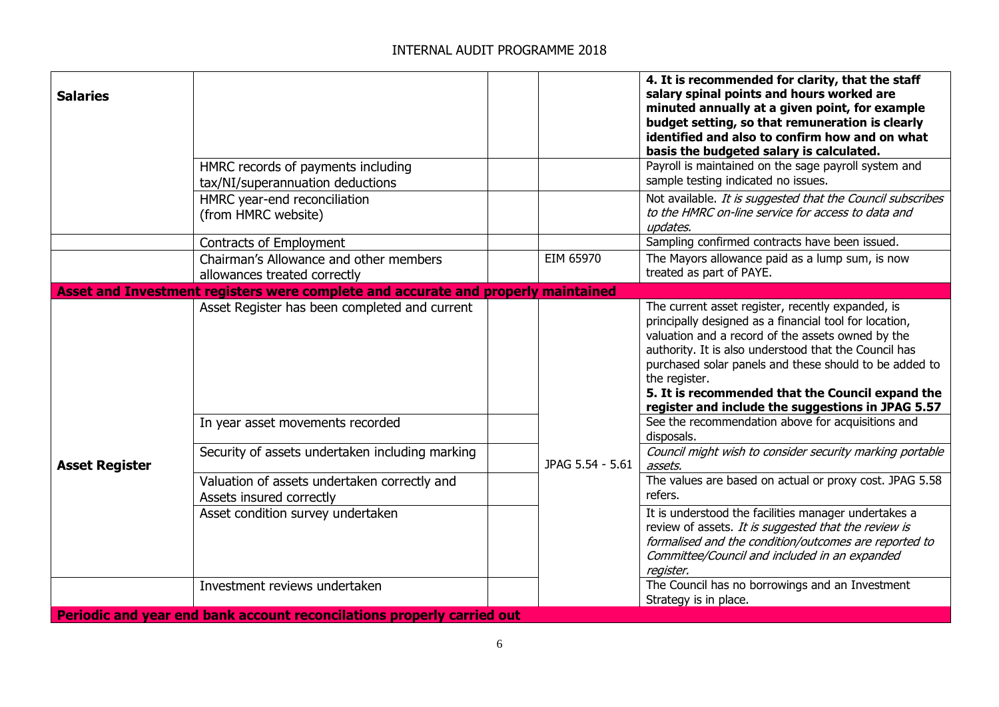| <b>Salaries</b>       | HMRC records of payments including<br>tax/NI/superannuation deductions<br>HMRC year-end reconciliation<br>(from HMRC website) |  |                  | 4. It is recommended for clarity, that the staff<br>salary spinal points and hours worked are<br>minuted annually at a given point, for example<br>budget setting, so that remuneration is clearly<br>identified and also to confirm how and on what<br>basis the budgeted salary is calculated.<br>Payroll is maintained on the sage payroll system and<br>sample testing indicated no issues.<br>Not available. It is suggested that the Council subscribes<br>to the HMRC on-line service for access to data and<br>updates. |
|-----------------------|-------------------------------------------------------------------------------------------------------------------------------|--|------------------|---------------------------------------------------------------------------------------------------------------------------------------------------------------------------------------------------------------------------------------------------------------------------------------------------------------------------------------------------------------------------------------------------------------------------------------------------------------------------------------------------------------------------------|
|                       | Contracts of Employment                                                                                                       |  |                  | Sampling confirmed contracts have been issued.                                                                                                                                                                                                                                                                                                                                                                                                                                                                                  |
|                       | Chairman's Allowance and other members<br>allowances treated correctly                                                        |  | EIM 65970        | The Mayors allowance paid as a lump sum, is now<br>treated as part of PAYE.                                                                                                                                                                                                                                                                                                                                                                                                                                                     |
|                       | Asset and Investment registers were complete and accurate and properly maintained                                             |  |                  |                                                                                                                                                                                                                                                                                                                                                                                                                                                                                                                                 |
|                       | Asset Register has been completed and current                                                                                 |  | JPAG 5.54 - 5.61 | The current asset register, recently expanded, is<br>principally designed as a financial tool for location,<br>valuation and a record of the assets owned by the<br>authority. It is also understood that the Council has<br>purchased solar panels and these should to be added to<br>the register.<br>5. It is recommended that the Council expand the<br>register and include the suggestions in JPAG 5.57                                                                                                                   |
|                       | In year asset movements recorded                                                                                              |  |                  | See the recommendation above for acquisitions and<br>disposals.                                                                                                                                                                                                                                                                                                                                                                                                                                                                 |
| <b>Asset Register</b> | Security of assets undertaken including marking                                                                               |  |                  | Council might wish to consider security marking portable<br>assets.                                                                                                                                                                                                                                                                                                                                                                                                                                                             |
|                       | Valuation of assets undertaken correctly and<br>Assets insured correctly                                                      |  |                  | The values are based on actual or proxy cost. JPAG 5.58<br>refers.                                                                                                                                                                                                                                                                                                                                                                                                                                                              |
|                       | Asset condition survey undertaken                                                                                             |  |                  | It is understood the facilities manager undertakes a<br>review of assets. It is suggested that the review is<br>formalised and the condition/outcomes are reported to<br>Committee/Council and included in an expanded<br>register.                                                                                                                                                                                                                                                                                             |
|                       | Investment reviews undertaken                                                                                                 |  |                  | The Council has no borrowings and an Investment<br>Strategy is in place.                                                                                                                                                                                                                                                                                                                                                                                                                                                        |
|                       | Periodic and year end bank account reconcilations properly carried out                                                        |  |                  |                                                                                                                                                                                                                                                                                                                                                                                                                                                                                                                                 |